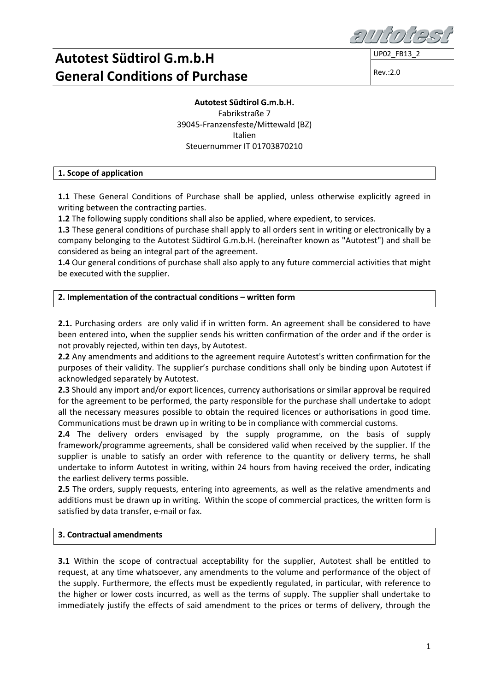**UP02 FB13** 

Rev.:2.0

**Autotest Südtirol G.m.b.H.** Fabrikstraße 7 39045-Franzensfeste/Mittewald (BZ) Italien Steuernummer IT 01703870210

### **1. Scope of application**

**1.1** These General Conditions of Purchase shall be applied, unless otherwise explicitly agreed in writing between the contracting parties.

**1.2** The following supply conditions shall also be applied, where expedient, to services.

**1.3** These general conditions of purchase shall apply to all orders sent in writing or electronically by a company belonging to the Autotest Südtirol G.m.b.H. (hereinafter known as "Autotest") and shall be considered as being an integral part of the agreement.

**1.4** Our general conditions of purchase shall also apply to any future commercial activities that might be executed with the supplier.

### **2. Implementation of the contractual conditions – written form**

**2.1.** Purchasing orders are only valid if in written form. An agreement shall be considered to have been entered into, when the supplier sends his written confirmation of the order and if the order is not provably rejected, within ten days, by Autotest.

**2.2** Any amendments and additions to the agreement require Autotest's written confirmation for the purposes of their validity. The supplier's purchase conditions shall only be binding upon Autotest if acknowledged separately by Autotest.

**2.3** Should any import and/or export licences, currency authorisations or similar approval be required for the agreement to be performed, the party responsible for the purchase shall undertake to adopt all the necessary measures possible to obtain the required licences or authorisations in good time. Communications must be drawn up in writing to be in compliance with commercial customs.

**2.4** The delivery orders envisaged by the supply programme, on the basis of supply framework/programme agreements, shall be considered valid when received by the supplier. If the supplier is unable to satisfy an order with reference to the quantity or delivery terms, he shall undertake to inform Autotest in writing, within 24 hours from having received the order, indicating the earliest delivery terms possible.

**2.5** The orders, supply requests, entering into agreements, as well as the relative amendments and additions must be drawn up in writing. Within the scope of commercial practices, the written form is satisfied by data transfer, e-mail or fax.

### **3. Contractual amendments**

**3.1** Within the scope of contractual acceptability for the supplier, Autotest shall be entitled to request, at any time whatsoever, any amendments to the volume and performance of the object of the supply. Furthermore, the effects must be expediently regulated, in particular, with reference to the higher or lower costs incurred, as well as the terms of supply. The supplier shall undertake to immediately justify the effects of said amendment to the prices or terms of delivery, through the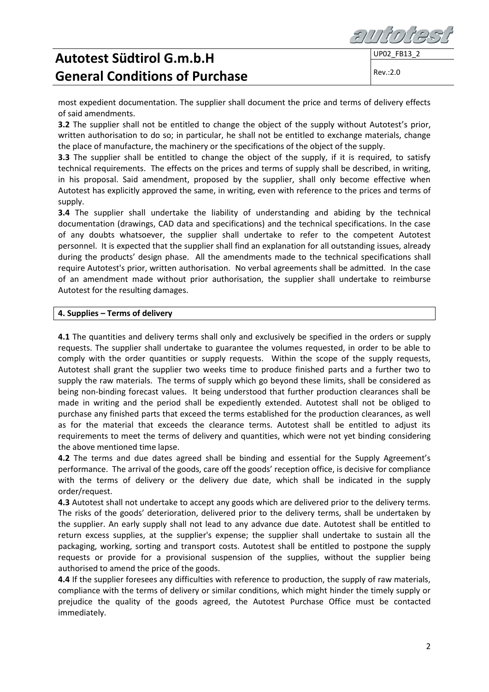most expedient documentation. The supplier shall document the price and terms of delivery effects of said amendments.

**3.2** The supplier shall not be entitled to change the object of the supply without Autotest's prior, written authorisation to do so; in particular, he shall not be entitled to exchange materials, change the place of manufacture, the machinery or the specifications of the object of the supply.

**3.3** The supplier shall be entitled to change the object of the supply, if it is required, to satisfy technical requirements. The effects on the prices and terms of supply shall be described, in writing, in his proposal. Said amendment, proposed by the supplier, shall only become effective when Autotest has explicitly approved the same, in writing, even with reference to the prices and terms of supply.

**3.4** The supplier shall undertake the liability of understanding and abiding by the technical documentation (drawings, CAD data and specifications) and the technical specifications. In the case of any doubts whatsoever, the supplier shall undertake to refer to the competent Autotest personnel. It is expected that the supplier shall find an explanation for all outstanding issues, already during the products' design phase. All the amendments made to the technical specifications shall require Autotest's prior, written authorisation. No verbal agreements shall be admitted. In the case of an amendment made without prior authorisation, the supplier shall undertake to reimburse Autotest for the resulting damages.

#### **4. Supplies – Terms of delivery**

**4.1** The quantities and delivery terms shall only and exclusively be specified in the orders or supply requests. The supplier shall undertake to guarantee the volumes requested, in order to be able to comply with the order quantities or supply requests. Within the scope of the supply requests, Autotest shall grant the supplier two weeks time to produce finished parts and a further two to supply the raw materials. The terms of supply which go beyond these limits, shall be considered as being non-binding forecast values. It being understood that further production clearances shall be made in writing and the period shall be expediently extended. Autotest shall not be obliged to purchase any finished parts that exceed the terms established for the production clearances, as well as for the material that exceeds the clearance terms. Autotest shall be entitled to adjust its requirements to meet the terms of delivery and quantities, which were not yet binding considering the above mentioned time lapse.

**4.2** The terms and due dates agreed shall be binding and essential for the Supply Agreement's performance. The arrival of the goods, care off the goods' reception office, is decisive for compliance with the terms of delivery or the delivery due date, which shall be indicated in the supply order/request.

**4.3** Autotest shall not undertake to accept any goods which are delivered prior to the delivery terms. The risks of the goods' deterioration, delivered prior to the delivery terms, shall be undertaken by the supplier. An early supply shall not lead to any advance due date. Autotest shall be entitled to return excess supplies, at the supplier's expense; the supplier shall undertake to sustain all the packaging, working, sorting and transport costs. Autotest shall be entitled to postpone the supply requests or provide for a provisional suspension of the supplies, without the supplier being authorised to amend the price of the goods.

**4.4** If the supplier foresees any difficulties with reference to production, the supply of raw materials, compliance with the terms of delivery or similar conditions, which might hinder the timely supply or prejudice the quality of the goods agreed, the Autotest Purchase Office must be contacted immediately.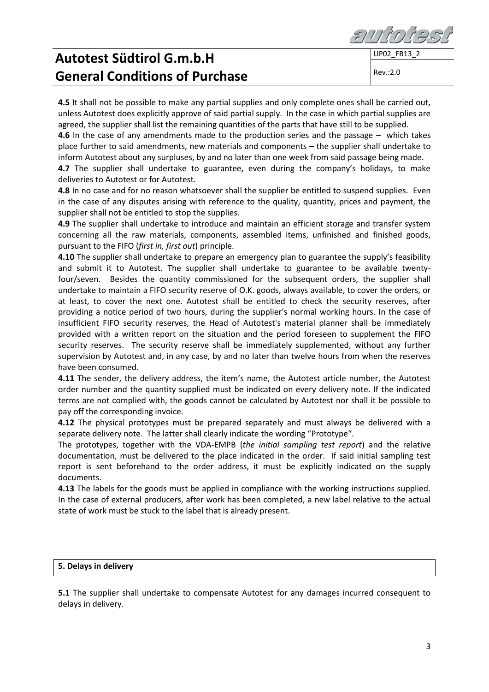**4.5** It shall not be possible to make any partial supplies and only complete ones shall be carried out, unless Autotest does explicitly approve of said partial supply. In the case in which partial supplies are agreed, the supplier shall list the remaining quantities of the parts that have still to be supplied.

**4.6** In the case of any amendments made to the production series and the passage – which takes place further to said amendments, new materials and components – the supplier shall undertake to inform Autotest about any surpluses, by and no later than one week from said passage being made.

**4.7** The supplier shall undertake to guarantee, even during the company's holidays, to make deliveries to Autotest or for Autotest.

**4.8** In no case and for no reason whatsoever shall the supplier be entitled to suspend supplies. Even in the case of any disputes arising with reference to the quality, quantity, prices and payment, the supplier shall not be entitled to stop the supplies.

**4.9** The supplier shall undertake to introduce and maintain an efficient storage and transfer system concerning all the raw materials, components, assembled items, unfinished and finished goods, pursuant to the FIFO (*first in, first out*) principle.

**4.10** The supplier shall undertake to prepare an emergency plan to guarantee the supply's feasibility and submit it to Autotest. The supplier shall undertake to guarantee to be available twentyfour/seven. Besides the quantity commissioned for the subsequent orders, the supplier shall undertake to maintain a FIFO security reserve of O.K. goods, always available, to cover the orders, or at least, to cover the next one. Autotest shall be entitled to check the security reserves, after providing a notice period of two hours, during the supplier's normal working hours. In the case of insufficient FIFO security reserves, the Head of Autotest's material planner shall be immediately provided with a written report on the situation and the period foreseen to supplement the FIFO security reserves. The security reserve shall be immediately supplemented, without any further supervision by Autotest and, in any case, by and no later than twelve hours from when the reserves have been consumed.

**4.11** The sender, the delivery address, the item's name, the Autotest article number, the Autotest order number and the quantity supplied must be indicated on every delivery note. If the indicated terms are not complied with, the goods cannot be calculated by Autotest nor shall it be possible to pay off the corresponding invoice.

**4.12** The physical prototypes must be prepared separately and must always be delivered with a separate delivery note. The latter shall clearly indicate the wording "Prototype".

The prototypes, together with the VDA-EMPB (*the initial sampling test report*) and the relative documentation, must be delivered to the place indicated in the order. If said initial sampling test report is sent beforehand to the order address, it must be explicitly indicated on the supply documents.

**4.13** The labels for the goods must be applied in compliance with the working instructions supplied. In the case of external producers, after work has been completed, a new label relative to the actual state of work must be stuck to the label that is already present.

#### **5. Delays in delivery**

**5.1** The supplier shall undertake to compensate Autotest for any damages incurred consequent to delays in delivery.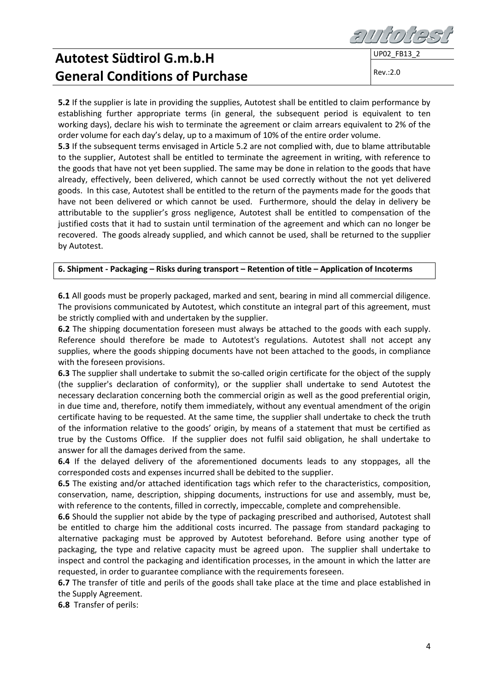Rev.:2.0

**5.2** If the supplier is late in providing the supplies, Autotest shall be entitled to claim performance by establishing further appropriate terms (in general, the subsequent period is equivalent to ten working days), declare his wish to terminate the agreement or claim arrears equivalent to 2% of the order volume for each day's delay, up to a maximum of 10% of the entire order volume.

**5.3** If the subsequent terms envisaged in Article 5.2 are not complied with, due to blame attributable to the supplier, Autotest shall be entitled to terminate the agreement in writing, with reference to the goods that have not yet been supplied. The same may be done in relation to the goods that have already, effectively, been delivered, which cannot be used correctly without the not yet delivered goods. In this case, Autotest shall be entitled to the return of the payments made for the goods that have not been delivered or which cannot be used. Furthermore, should the delay in delivery be attributable to the supplier's gross negligence, Autotest shall be entitled to compensation of the justified costs that it had to sustain until termination of the agreement and which can no longer be recovered. The goods already supplied, and which cannot be used, shall be returned to the supplier by Autotest.

### **6. Shipment - Packaging – Risks during transport – Retention of title – Application of Incoterms**

**6.1** All goods must be properly packaged, marked and sent, bearing in mind all commercial diligence. The provisions communicated by Autotest, which constitute an integral part of this agreement, must be strictly complied with and undertaken by the supplier.

**6.2** The shipping documentation foreseen must always be attached to the goods with each supply. Reference should therefore be made to Autotest's regulations. Autotest shall not accept any supplies, where the goods shipping documents have not been attached to the goods, in compliance with the foreseen provisions.

**6.3** The supplier shall undertake to submit the so-called origin certificate for the object of the supply (the supplier's declaration of conformity), or the supplier shall undertake to send Autotest the necessary declaration concerning both the commercial origin as well as the good preferential origin, in due time and, therefore, notify them immediately, without any eventual amendment of the origin certificate having to be requested. At the same time, the supplier shall undertake to check the truth of the information relative to the goods' origin, by means of a statement that must be certified as true by the Customs Office. If the supplier does not fulfil said obligation, he shall undertake to answer for all the damages derived from the same.

**6.4** If the delayed delivery of the aforementioned documents leads to any stoppages, all the corresponded costs and expenses incurred shall be debited to the supplier.

**6.5** The existing and/or attached identification tags which refer to the characteristics, composition, conservation, name, description, shipping documents, instructions for use and assembly, must be, with reference to the contents, filled in correctly, impeccable, complete and comprehensible.

**6.6** Should the supplier not abide by the type of packaging prescribed and authorised, Autotest shall be entitled to charge him the additional costs incurred. The passage from standard packaging to alternative packaging must be approved by Autotest beforehand. Before using another type of packaging, the type and relative capacity must be agreed upon. The supplier shall undertake to inspect and control the packaging and identification processes, in the amount in which the latter are requested, in order to guarantee compliance with the requirements foreseen.

**6.7** The transfer of title and perils of the goods shall take place at the time and place established in the Supply Agreement.

**6.8** Transfer of perils: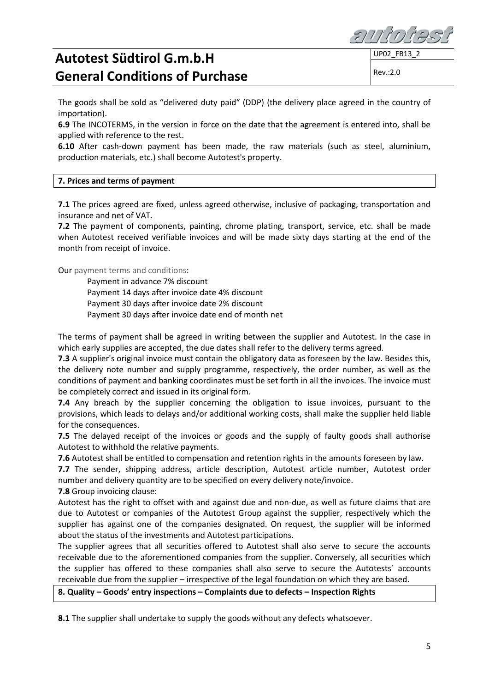

UP02 FB13

Rev.:2.0

The goods shall be sold as "delivered duty paid" (DDP) (the delivery place agreed in the country of importation).

**6.9** The INCOTERMS, in the version in force on the date that the agreement is entered into, shall be applied with reference to the rest.

**6.10** After cash-down payment has been made, the raw materials (such as steel, aluminium, production materials, etc.) shall become Autotest's property.

### **7. Prices and terms of payment**

**7.1** The prices agreed are fixed, unless agreed otherwise, inclusive of packaging, transportation and insurance and net of VAT.

**7.2** The payment of components, painting, chrome plating, transport, service, etc. shall be made when Autotest received verifiable invoices and will be made sixty days starting at the end of the month from receipt of invoice.

Our payment terms and conditions:

Payment in advance 7% discount Payment 14 days after invoice date 4% discount Payment 30 days after invoice date 2% discount Payment 30 days after invoice date end of month net

The terms of payment shall be agreed in writing between the supplier and Autotest. In the case in which early supplies are accepted, the due dates shall refer to the delivery terms agreed*.*

**7.3** A supplier's original invoice must contain the obligatory data as foreseen by the law. Besides this, the delivery note number and supply programme, respectively, the order number, as well as the conditions of payment and banking coordinates must be set forth in all the invoices. The invoice must be completely correct and issued in its original form.

**7.4** Any breach by the supplier concerning the obligation to issue invoices, pursuant to the provisions, which leads to delays and/or additional working costs, shall make the supplier held liable for the consequences.

**7.5** The delayed receipt of the invoices or goods and the supply of faulty goods shall authorise Autotest to withhold the relative payments.

**7.6** Autotest shall be entitled to compensation and retention rights in the amounts foreseen by law.

**7.7** The sender, shipping address, article description, Autotest article number, Autotest order number and delivery quantity are to be specified on every delivery note/invoice.

**7.8** Group invoicing clause:

Autotest has the right to offset with and against due and non-due, as well as future claims that are due to Autotest or companies of the Autotest Group against the supplier, respectively which the supplier has against one of the companies designated. On request, the supplier will be informed about the status of the investments and Autotest participations.

The supplier agrees that all securities offered to Autotest shall also serve to secure the accounts receivable due to the aforementioned companies from the supplier. Conversely, all securities which the supplier has offered to these companies shall also serve to secure the Autotests´ accounts receivable due from the supplier – irrespective of the legal foundation on which they are based.

#### **8. Quality – Goods' entry inspections – Complaints due to defects – Inspection Rights**

**8.1** The supplier shall undertake to supply the goods without any defects whatsoever.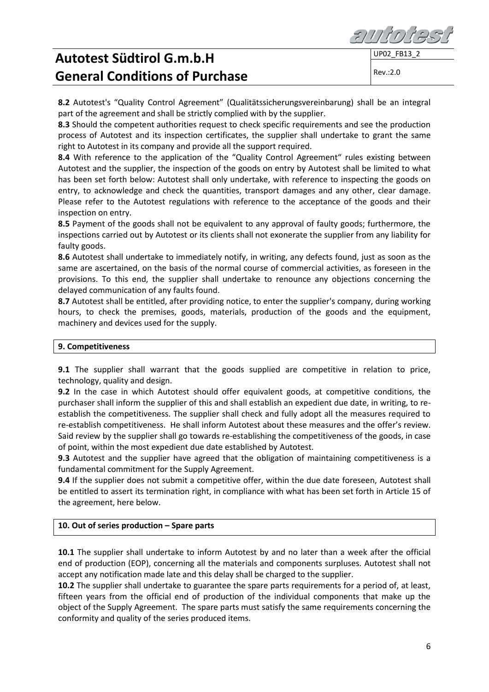

**8.2** Autotest's "Quality Control Agreement" (Qualitätssicherungsvereinbarung) shall be an integral part of the agreement and shall be strictly complied with by the supplier.

**8.3** Should the competent authorities request to check specific requirements and see the production process of Autotest and its inspection certificates, the supplier shall undertake to grant the same right to Autotest in its company and provide all the support required.

8.4 With reference to the application of the "Quality Control Agreement" rules existing between Autotest and the supplier, the inspection of the goods on entry by Autotest shall be limited to what has been set forth below: Autotest shall only undertake, with reference to inspecting the goods on entry, to acknowledge and check the quantities, transport damages and any other, clear damage. Please refer to the Autotest regulations with reference to the acceptance of the goods and their inspection on entry.

**8.5** Payment of the goods shall not be equivalent to any approval of faulty goods; furthermore, the inspections carried out by Autotest or its clients shall not exonerate the supplier from any liability for faulty goods.

**8.6** Autotest shall undertake to immediately notify, in writing, any defects found, just as soon as the same are ascertained, on the basis of the normal course of commercial activities, as foreseen in the provisions. To this end, the supplier shall undertake to renounce any objections concerning the delayed communication of any faults found.

**8.7** Autotest shall be entitled, after providing notice, to enter the supplier's company, during working hours, to check the premises, goods, materials, production of the goods and the equipment, machinery and devices used for the supply.

#### **9. Competitiveness**

**9.1** The supplier shall warrant that the goods supplied are competitive in relation to price, technology, quality and design.

**9.2** In the case in which Autotest should offer equivalent goods, at competitive conditions, the purchaser shall inform the supplier of this and shall establish an expedient due date, in writing, to reestablish the competitiveness. The supplier shall check and fully adopt all the measures required to re-establish competitiveness. He shall inform Autotest about these measures and the offer's review. Said review by the supplier shall go towards re-establishing the competitiveness of the goods, in case of point, within the most expedient due date established by Autotest.

**9.3** Autotest and the supplier have agreed that the obligation of maintaining competitiveness is a fundamental commitment for the Supply Agreement.

**9.4** If the supplier does not submit a competitive offer, within the due date foreseen, Autotest shall be entitled to assert its termination right, in compliance with what has been set forth in Article 15 of the agreement, here below.

### **10. Out of series production – Spare parts**

**10.1** The supplier shall undertake to inform Autotest by and no later than a week after the official end of production (EOP), concerning all the materials and components surpluses. Autotest shall not accept any notification made late and this delay shall be charged to the supplier.

**10.2** The supplier shall undertake to guarantee the spare parts requirements for a period of, at least, fifteen years from the official end of production of the individual components that make up the object of the Supply Agreement. The spare parts must satisfy the same requirements concerning the conformity and quality of the series produced items.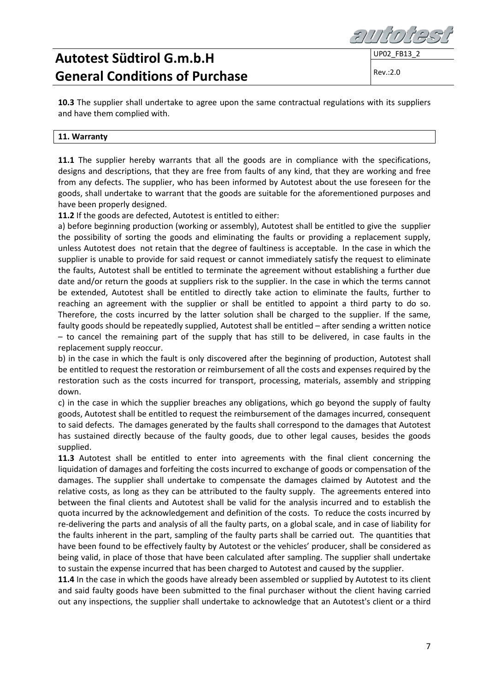UP02\_FB13\_2

Rev.:2.0

**10.3** The supplier shall undertake to agree upon the same contractual regulations with its suppliers and have them complied with.

### **11. Warranty**

**11.1** The supplier hereby warrants that all the goods are in compliance with the specifications, designs and descriptions, that they are free from faults of any kind, that they are working and free from any defects. The supplier, who has been informed by Autotest about the use foreseen for the goods, shall undertake to warrant that the goods are suitable for the aforementioned purposes and have been properly designed.

**11.2** If the goods are defected, Autotest is entitled to either:

a) before beginning production (working or assembly), Autotest shall be entitled to give the supplier the possibility of sorting the goods and eliminating the faults or providing a replacement supply, unless Autotest does not retain that the degree of faultiness is acceptable. In the case in which the supplier is unable to provide for said request or cannot immediately satisfy the request to eliminate the faults, Autotest shall be entitled to terminate the agreement without establishing a further due date and/or return the goods at suppliers risk to the supplier. In the case in which the terms cannot be extended, Autotest shall be entitled to directly take action to eliminate the faults, further to reaching an agreement with the supplier or shall be entitled to appoint a third party to do so. Therefore, the costs incurred by the latter solution shall be charged to the supplier. If the same, faulty goods should be repeatedly supplied, Autotest shall be entitled – after sending a written notice – to cancel the remaining part of the supply that has still to be delivered, in case faults in the replacement supply reoccur.

b) in the case in which the fault is only discovered after the beginning of production, Autotest shall be entitled to request the restoration or reimbursement of all the costs and expenses required by the restoration such as the costs incurred for transport, processing, materials, assembly and stripping down.

c) in the case in which the supplier breaches any obligations, which go beyond the supply of faulty goods, Autotest shall be entitled to request the reimbursement of the damages incurred, consequent to said defects. The damages generated by the faults shall correspond to the damages that Autotest has sustained directly because of the faulty goods, due to other legal causes, besides the goods supplied.

**11.3** Autotest shall be entitled to enter into agreements with the final client concerning the liquidation of damages and forfeiting the costs incurred to exchange of goods or compensation of the damages. The supplier shall undertake to compensate the damages claimed by Autotest and the relative costs, as long as they can be attributed to the faulty supply. The agreements entered into between the final clients and Autotest shall be valid for the analysis incurred and to establish the quota incurred by the acknowledgement and definition of the costs. To reduce the costs incurred by re-delivering the parts and analysis of all the faulty parts, on a global scale, and in case of liability for the faults inherent in the part, sampling of the faulty parts shall be carried out. The quantities that have been found to be effectively faulty by Autotest or the vehicles' producer, shall be considered as being valid, in place of those that have been calculated after sampling. The supplier shall undertake to sustain the expense incurred that has been charged to Autotest and caused by the supplier.

**11.4** In the case in which the goods have already been assembled or supplied by Autotest to its client and said faulty goods have been submitted to the final purchaser without the client having carried out any inspections, the supplier shall undertake to acknowledge that an Autotest's client or a third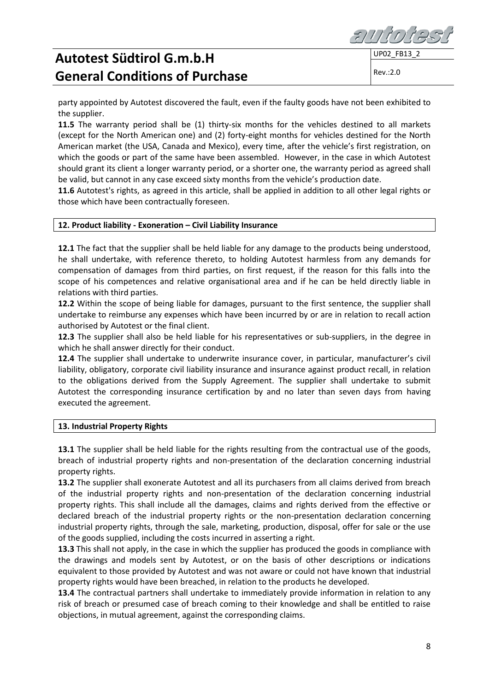

Rev.:2.0

party appointed by Autotest discovered the fault, even if the faulty goods have not been exhibited to the supplier.

**11.5** The warranty period shall be (1) thirty-six months for the vehicles destined to all markets (except for the North American one) and (2) forty-eight months for vehicles destined for the North American market (the USA, Canada and Mexico), every time, after the vehicle's first registration, on which the goods or part of the same have been assembled. However, in the case in which Autotest should grant its client a longer warranty period, or a shorter one, the warranty period as agreed shall be valid, but cannot in any case exceed sixty months from the vehicle's production date.

**11.6** Autotest's rights, as agreed in this article, shall be applied in addition to all other legal rights or those which have been contractually foreseen.

#### **12. Product liability - Exoneration – Civil Liability Insurance**

**12.1** The fact that the supplier shall be held liable for any damage to the products being understood, he shall undertake, with reference thereto, to holding Autotest harmless from any demands for compensation of damages from third parties, on first request, if the reason for this falls into the scope of his competences and relative organisational area and if he can be held directly liable in relations with third parties.

**12.2** Within the scope of being liable for damages, pursuant to the first sentence, the supplier shall undertake to reimburse any expenses which have been incurred by or are in relation to recall action authorised by Autotest or the final client.

**12.3** The supplier shall also be held liable for his representatives or sub-suppliers, in the degree in which he shall answer directly for their conduct.

**12.4** The supplier shall undertake to underwrite insurance cover, in particular, manufacturer's civil liability, obligatory, corporate civil liability insurance and insurance against product recall, in relation to the obligations derived from the Supply Agreement. The supplier shall undertake to submit Autotest the corresponding insurance certification by and no later than seven days from having executed the agreement.

#### **13. Industrial Property Rights**

**13.1** The supplier shall be held liable for the rights resulting from the contractual use of the goods, breach of industrial property rights and non-presentation of the declaration concerning industrial property rights.

**13.2** The supplier shall exonerate Autotest and all its purchasers from all claims derived from breach of the industrial property rights and non-presentation of the declaration concerning industrial property rights. This shall include all the damages, claims and rights derived from the effective or declared breach of the industrial property rights or the non-presentation declaration concerning industrial property rights, through the sale, marketing, production, disposal, offer for sale or the use of the goods supplied, including the costs incurred in asserting a right.

**13.3** This shall not apply, in the case in which the supplier has produced the goods in compliance with the drawings and models sent by Autotest, or on the basis of other descriptions or indications equivalent to those provided by Autotest and was not aware or could not have known that industrial property rights would have been breached, in relation to the products he developed.

**13.4** The contractual partners shall undertake to immediately provide information in relation to any risk of breach or presumed case of breach coming to their knowledge and shall be entitled to raise objections, in mutual agreement, against the corresponding claims.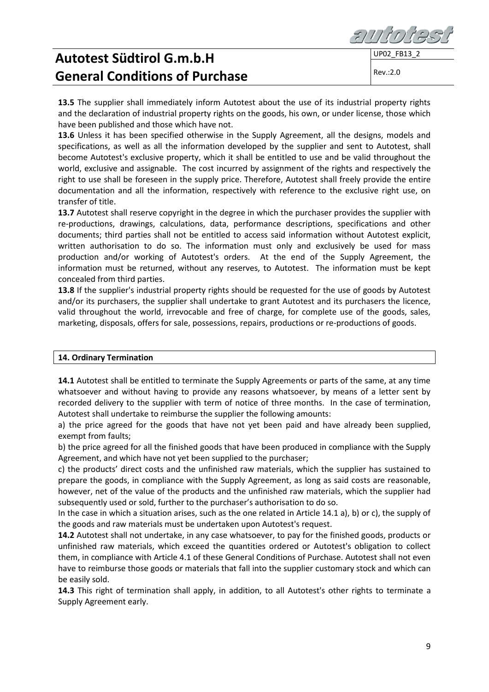**13.5** The supplier shall immediately inform Autotest about the use of its industrial property rights and the declaration of industrial property rights on the goods, his own, or under license, those which have been published and those which have not.

**13.6** Unless it has been specified otherwise in the Supply Agreement, all the designs, models and specifications, as well as all the information developed by the supplier and sent to Autotest, shall become Autotest's exclusive property, which it shall be entitled to use and be valid throughout the world, exclusive and assignable. The cost incurred by assignment of the rights and respectively the right to use shall be foreseen in the supply price. Therefore, Autotest shall freely provide the entire documentation and all the information, respectively with reference to the exclusive right use, on transfer of title.

**13.7** Autotest shall reserve copyright in the degree in which the purchaser provides the supplier with re-productions, drawings, calculations, data, performance descriptions, specifications and other documents; third parties shall not be entitled to access said information without Autotest explicit, written authorisation to do so. The information must only and exclusively be used for mass production and/or working of Autotest's orders. At the end of the Supply Agreement, the information must be returned, without any reserves, to Autotest. The information must be kept concealed from third parties.

**13.8** If the supplier's industrial property rights should be requested for the use of goods by Autotest and/or its purchasers, the supplier shall undertake to grant Autotest and its purchasers the licence, valid throughout the world, irrevocable and free of charge, for complete use of the goods, sales, marketing, disposals, offers for sale, possessions, repairs, productions or re-productions of goods.

#### **14. Ordinary Termination**

**14.1** Autotest shall be entitled to terminate the Supply Agreements or parts of the same, at any time whatsoever and without having to provide any reasons whatsoever, by means of a letter sent by recorded delivery to the supplier with term of notice of three months. In the case of termination, Autotest shall undertake to reimburse the supplier the following amounts:

a) the price agreed for the goods that have not yet been paid and have already been supplied, exempt from faults;

b) the price agreed for all the finished goods that have been produced in compliance with the Supply Agreement, and which have not yet been supplied to the purchaser;

c) the products' direct costs and the unfinished raw materials, which the supplier has sustained to prepare the goods, in compliance with the Supply Agreement, as long as said costs are reasonable, however, net of the value of the products and the unfinished raw materials, which the supplier had subsequently used or sold, further to the purchaser's authorisation to do so.

In the case in which a situation arises, such as the one related in Article 14.1 a), b) or c), the supply of the goods and raw materials must be undertaken upon Autotest's request.

**14.2** Autotest shall not undertake, in any case whatsoever, to pay for the finished goods, products or unfinished raw materials, which exceed the quantities ordered or Autotest's obligation to collect them, in compliance with Article 4.1 of these General Conditions of Purchase. Autotest shall not even have to reimburse those goods or materials that fall into the supplier customary stock and which can be easily sold.

**14.3** This right of termination shall apply, in addition, to all Autotest's other rights to terminate a Supply Agreement early.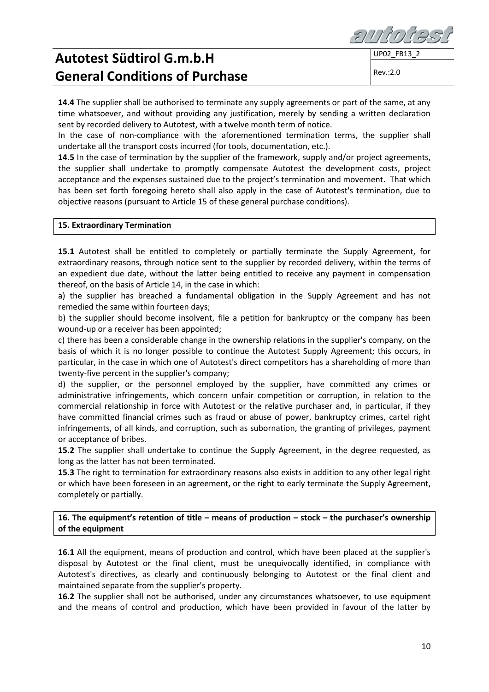**14.4** The supplier shall be authorised to terminate any supply agreements or part of the same, at any time whatsoever, and without providing any justification, merely by sending a written declaration sent by recorded delivery to Autotest, with a twelve month term of notice.

In the case of non-compliance with the aforementioned termination terms, the supplier shall undertake all the transport costs incurred (for tools, documentation, etc.).

**14.5** In the case of termination by the supplier of the framework, supply and/or project agreements, the supplier shall undertake to promptly compensate Autotest the development costs, project acceptance and the expenses sustained due to the project's termination and movement. That which has been set forth foregoing hereto shall also apply in the case of Autotest's termination, due to objective reasons (pursuant to Article 15 of these general purchase conditions).

#### **15. Extraordinary Termination**

**15.1** Autotest shall be entitled to completely or partially terminate the Supply Agreement, for extraordinary reasons, through notice sent to the supplier by recorded delivery, within the terms of an expedient due date, without the latter being entitled to receive any payment in compensation thereof, on the basis of Article 14, in the case in which:

a) the supplier has breached a fundamental obligation in the Supply Agreement and has not remedied the same within fourteen days;

b) the supplier should become insolvent, file a petition for bankruptcy or the company has been wound-up or a receiver has been appointed;

c) there has been a considerable change in the ownership relations in the supplier's company, on the basis of which it is no longer possible to continue the Autotest Supply Agreement; this occurs, in particular, in the case in which one of Autotest's direct competitors has a shareholding of more than twenty-five percent in the supplier's company;

d) the supplier, or the personnel employed by the supplier, have committed any crimes or administrative infringements, which concern unfair competition or corruption, in relation to the commercial relationship in force with Autotest or the relative purchaser and, in particular, if they have committed financial crimes such as fraud or abuse of power, bankruptcy crimes, cartel right infringements, of all kinds, and corruption, such as subornation, the granting of privileges, payment or acceptance of bribes.

**15.2** The supplier shall undertake to continue the Supply Agreement, in the degree requested, as long as the latter has not been terminated.

**15.3** The right to termination for extraordinary reasons also exists in addition to any other legal right or which have been foreseen in an agreement, or the right to early terminate the Supply Agreement, completely or partially.

**16. The equipment's retention of title – means of production – stock – the purchaser's ownership of the equipment**

**16.1** All the equipment, means of production and control, which have been placed at the supplier's disposal by Autotest or the final client, must be unequivocally identified, in compliance with Autotest's directives, as clearly and continuously belonging to Autotest or the final client and maintained separate from the supplier's property.

**16.2** The supplier shall not be authorised, under any circumstances whatsoever, to use equipment and the means of control and production, which have been provided in favour of the latter by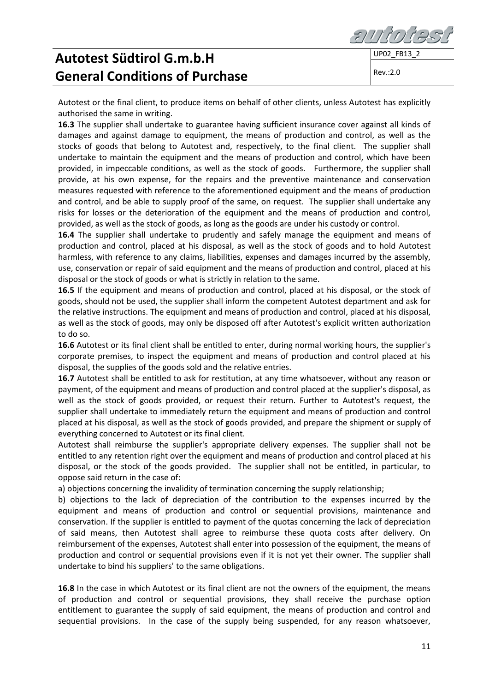

Rev.:2.0

Autotest or the final client, to produce items on behalf of other clients, unless Autotest has explicitly authorised the same in writing.

**16.3** The supplier shall undertake to guarantee having sufficient insurance cover against all kinds of damages and against damage to equipment, the means of production and control, as well as the stocks of goods that belong to Autotest and, respectively, to the final client. The supplier shall undertake to maintain the equipment and the means of production and control, which have been provided, in impeccable conditions, as well as the stock of goods. Furthermore, the supplier shall provide, at his own expense, for the repairs and the preventive maintenance and conservation measures requested with reference to the aforementioned equipment and the means of production and control, and be able to supply proof of the same, on request. The supplier shall undertake any risks for losses or the deterioration of the equipment and the means of production and control, provided, as well as the stock of goods, as long as the goods are under his custody or control.

**16.4** The supplier shall undertake to prudently and safely manage the equipment and means of production and control, placed at his disposal, as well as the stock of goods and to hold Autotest harmless, with reference to any claims, liabilities, expenses and damages incurred by the assembly, use, conservation or repair of said equipment and the means of production and control, placed at his disposal or the stock of goods or what is strictly in relation to the same.

**16.5** If the equipment and means of production and control, placed at his disposal, or the stock of goods, should not be used, the supplier shall inform the competent Autotest department and ask for the relative instructions. The equipment and means of production and control, placed at his disposal, as well as the stock of goods, may only be disposed off after Autotest's explicit written authorization to do so.

**16.6** Autotest or its final client shall be entitled to enter, during normal working hours, the supplier's corporate premises, to inspect the equipment and means of production and control placed at his disposal, the supplies of the goods sold and the relative entries.

**16.7** Autotest shall be entitled to ask for restitution, at any time whatsoever, without any reason or payment, of the equipment and means of production and control placed at the supplier's disposal, as well as the stock of goods provided, or request their return. Further to Autotest's request, the supplier shall undertake to immediately return the equipment and means of production and control placed at his disposal, as well as the stock of goods provided, and prepare the shipment or supply of everything concerned to Autotest or its final client.

Autotest shall reimburse the supplier's appropriate delivery expenses. The supplier shall not be entitled to any retention right over the equipment and means of production and control placed at his disposal, or the stock of the goods provided. The supplier shall not be entitled, in particular, to oppose said return in the case of:

a) objections concerning the invalidity of termination concerning the supply relationship;

b) objections to the lack of depreciation of the contribution to the expenses incurred by the equipment and means of production and control or sequential provisions, maintenance and conservation. If the supplier is entitled to payment of the quotas concerning the lack of depreciation of said means, then Autotest shall agree to reimburse these quota costs after delivery. On reimbursement of the expenses, Autotest shall enter into possession of the equipment, the means of production and control or sequential provisions even if it is not yet their owner. The supplier shall undertake to bind his suppliers' to the same obligations.

**16.8** In the case in which Autotest or its final client are not the owners of the equipment, the means of production and control or sequential provisions, they shall receive the purchase option entitlement to guarantee the supply of said equipment, the means of production and control and sequential provisions. In the case of the supply being suspended, for any reason whatsoever,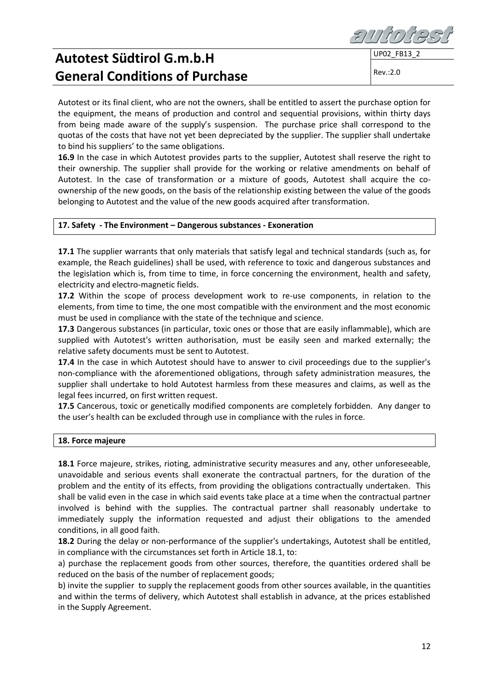Rev.:2.0

Autotest or its final client, who are not the owners, shall be entitled to assert the purchase option for the equipment, the means of production and control and sequential provisions, within thirty days from being made aware of the supply's suspension. The purchase price shall correspond to the quotas of the costs that have not yet been depreciated by the supplier. The supplier shall undertake to bind his suppliers' to the same obligations.

**16.9** In the case in which Autotest provides parts to the supplier, Autotest shall reserve the right to their ownership. The supplier shall provide for the working or relative amendments on behalf of Autotest. In the case of transformation or a mixture of goods, Autotest shall acquire the coownership of the new goods, on the basis of the relationship existing between the value of the goods belonging to Autotest and the value of the new goods acquired after transformation.

### **17. Safety - The Environment – Dangerous substances - Exoneration**

17.1 The supplier warrants that only materials that satisfy legal and technical standards (such as, for example, the Reach guidelines) shall be used, with reference to toxic and dangerous substances and the legislation which is, from time to time, in force concerning the environment, health and safety, electricity and electro-magnetic fields.

**17.2** Within the scope of process development work to re-use components, in relation to the elements, from time to time, the one most compatible with the environment and the most economic must be used in compliance with the state of the technique and science.

**17.3** Dangerous substances (in particular, toxic ones or those that are easily inflammable), which are supplied with Autotest's written authorisation, must be easily seen and marked externally; the relative safety documents must be sent to Autotest.

**17.4** In the case in which Autotest should have to answer to civil proceedings due to the supplier's non-compliance with the aforementioned obligations, through safety administration measures, the supplier shall undertake to hold Autotest harmless from these measures and claims, as well as the legal fees incurred, on first written request.

**17.5** Cancerous, toxic or genetically modified components are completely forbidden. Any danger to the user's health can be excluded through use in compliance with the rules in force.

#### **18. Force majeure**

**18.1** Force majeure, strikes, rioting, administrative security measures and any, other unforeseeable, unavoidable and serious events shall exonerate the contractual partners, for the duration of the problem and the entity of its effects, from providing the obligations contractually undertaken. This shall be valid even in the case in which said events take place at a time when the contractual partner involved is behind with the supplies. The contractual partner shall reasonably undertake to immediately supply the information requested and adjust their obligations to the amended conditions, in all good faith.

**18.2** During the delay or non-performance of the supplier's undertakings, Autotest shall be entitled, in compliance with the circumstances set forth in Article 18.1, to:

a) purchase the replacement goods from other sources, therefore, the quantities ordered shall be reduced on the basis of the number of replacement goods;

b) invite the supplier to supply the replacement goods from other sources available, in the quantities and within the terms of delivery, which Autotest shall establish in advance, at the prices established in the Supply Agreement.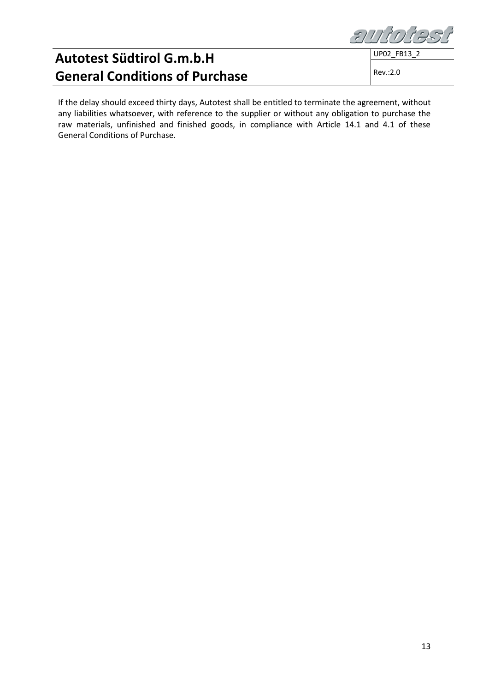auto

UP02\_FB13\_2

Rev.:2.0

If the delay should exceed thirty days, Autotest shall be entitled to terminate the agreement, without any liabilities whatsoever, with reference to the supplier or without any obligation to purchase the raw materials, unfinished and finished goods, in compliance with Article 14.1 and 4.1 of these General Conditions of Purchase.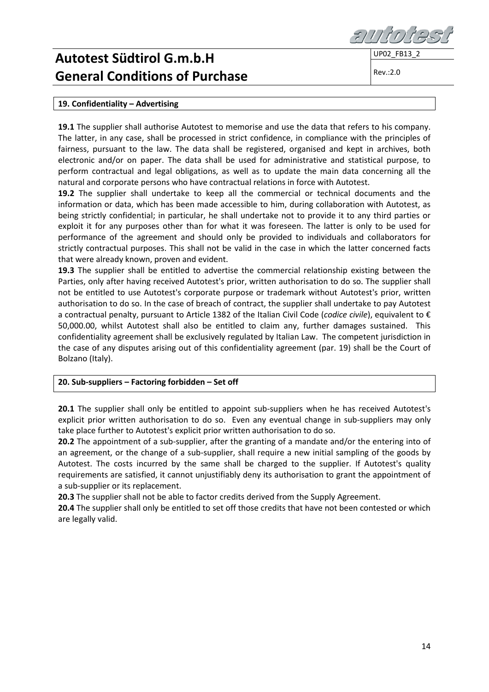UP02\_FB13\_2

Rev.:2.0

### **19. Confidentiality – Advertising**

**19.1** The supplier shall authorise Autotest to memorise and use the data that refers to his company. The latter, in any case, shall be processed in strict confidence, in compliance with the principles of fairness, pursuant to the law. The data shall be registered, organised and kept in archives, both electronic and/or on paper. The data shall be used for administrative and statistical purpose, to perform contractual and legal obligations, as well as to update the main data concerning all the natural and corporate persons who have contractual relations in force with Autotest.

**19.2** The supplier shall undertake to keep all the commercial or technical documents and the information or data, which has been made accessible to him, during collaboration with Autotest, as being strictly confidential; in particular, he shall undertake not to provide it to any third parties or exploit it for any purposes other than for what it was foreseen. The latter is only to be used for performance of the agreement and should only be provided to individuals and collaborators for strictly contractual purposes. This shall not be valid in the case in which the latter concerned facts that were already known, proven and evident.

**19.3** The supplier shall be entitled to advertise the commercial relationship existing between the Parties, only after having received Autotest's prior, written authorisation to do so. The supplier shall not be entitled to use Autotest's corporate purpose or trademark without Autotest's prior, written authorisation to do so. In the case of breach of contract, the supplier shall undertake to pay Autotest a contractual penalty, pursuant to Article 1382 of the Italian Civil Code (*codice civile*), equivalent to € 50,000.00, whilst Autotest shall also be entitled to claim any, further damages sustained. This confidentiality agreement shall be exclusively regulated by Italian Law. The competent jurisdiction in the case of any disputes arising out of this confidentiality agreement (par. 19) shall be the Court of Bolzano (Italy).

### **20. Sub-suppliers – Factoring forbidden – Set off**

20.1 The supplier shall only be entitled to appoint sub-suppliers when he has received Autotest's explicit prior written authorisation to do so. Even any eventual change in sub-suppliers may only take place further to Autotest's explicit prior written authorisation to do so.

**20.2** The appointment of a sub-supplier, after the granting of a mandate and/or the entering into of an agreement, or the change of a sub-supplier, shall require a new initial sampling of the goods by Autotest. The costs incurred by the same shall be charged to the supplier. If Autotest's quality requirements are satisfied, it cannot unjustifiably deny its authorisation to grant the appointment of a sub-supplier or its replacement.

**20.3** The supplier shall not be able to factor credits derived from the Supply Agreement.

**20.4** The supplier shall only be entitled to set off those credits that have not been contested or which are legally valid.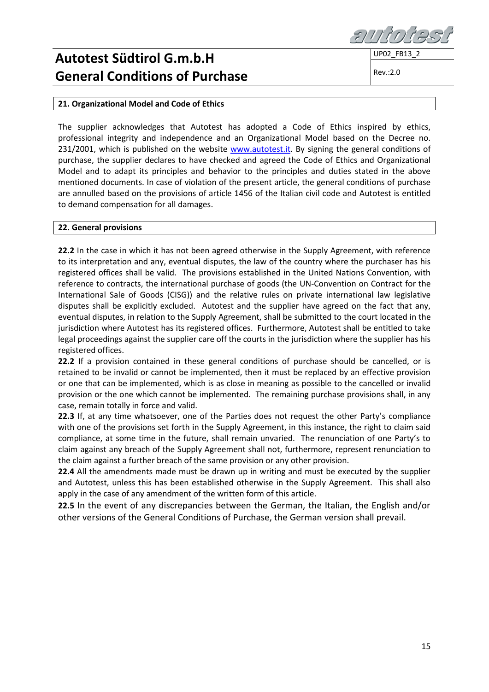UP02\_FB13\_2

Rev.:2.0

### **21. Organizational Model and Code of Ethics**

The supplier acknowledges that Autotest has adopted a Code of Ethics inspired by ethics, professional integrity and independence and an Organizational Model based on the Decree no. 231/2001, which is published on the website [www.autotest.it.](http://www.autotest.it/) By signing the general conditions of purchase, the supplier declares to have checked and agreed the Code of Ethics and Organizational Model and to adapt its principles and behavior to the principles and duties stated in the above mentioned documents. In case of violation of the present article, the general conditions of purchase are annulled based on the provisions of article 1456 of the Italian civil code and Autotest is entitled to demand compensation for all damages.

#### **22. General provisions**

**22.2** In the case in which it has not been agreed otherwise in the Supply Agreement, with reference to its interpretation and any, eventual disputes, the law of the country where the purchaser has his registered offices shall be valid. The provisions established in the United Nations Convention, with reference to contracts, the international purchase of goods (the UN-Convention on Contract for the International Sale of Goods (CISG)) and the relative rules on private international law legislative disputes shall be explicitly excluded. Autotest and the supplier have agreed on the fact that any, eventual disputes, in relation to the Supply Agreement, shall be submitted to the court located in the jurisdiction where Autotest has its registered offices. Furthermore, Autotest shall be entitled to take legal proceedings against the supplier care off the courts in the jurisdiction where the supplier has his registered offices.

**22.2** If a provision contained in these general conditions of purchase should be cancelled, or is retained to be invalid or cannot be implemented, then it must be replaced by an effective provision or one that can be implemented, which is as close in meaning as possible to the cancelled or invalid provision or the one which cannot be implemented. The remaining purchase provisions shall, in any case, remain totally in force and valid.

**22.3** If, at any time whatsoever, one of the Parties does not request the other Party's compliance with one of the provisions set forth in the Supply Agreement, in this instance, the right to claim said compliance, at some time in the future, shall remain unvaried. The renunciation of one Party's to claim against any breach of the Supply Agreement shall not, furthermore, represent renunciation to the claim against a further breach of the same provision or any other provision.

**22.4** All the amendments made must be drawn up in writing and must be executed by the supplier and Autotest, unless this has been established otherwise in the Supply Agreement. This shall also apply in the case of any amendment of the written form of this article.

**22.5** In the event of any discrepancies between the German, the Italian, the English and/or other versions of the General Conditions of Purchase, the German version shall prevail.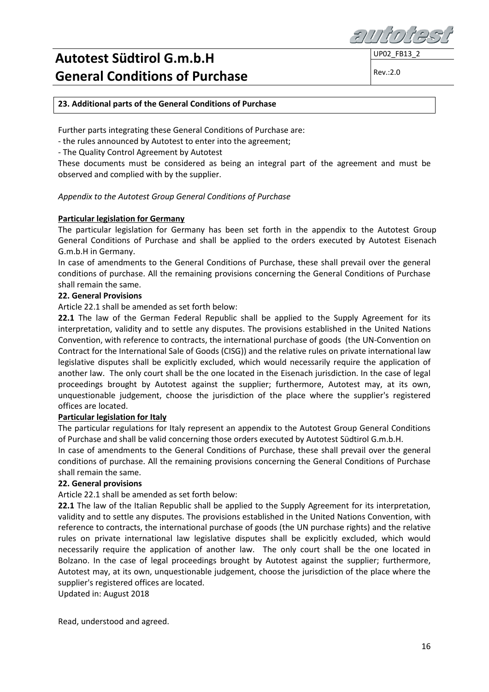**UP02 FB13** 

Rev.:2.0

### **23. Additional parts of the General Conditions of Purchase**

Further parts integrating these General Conditions of Purchase are:

- the rules announced by Autotest to enter into the agreement;

- The Quality Control Agreement by Autotest

These documents must be considered as being an integral part of the agreement and must be observed and complied with by the supplier.

### *Appendix to the Autotest Group General Conditions of Purchase*

### **Particular legislation for Germany**

The particular legislation for Germany has been set forth in the appendix to the Autotest Group General Conditions of Purchase and shall be applied to the orders executed by Autotest Eisenach G.m.b.H in Germany.

In case of amendments to the General Conditions of Purchase, these shall prevail over the general conditions of purchase. All the remaining provisions concerning the General Conditions of Purchase shall remain the same.

### **22. General Provisions**

Article 22.1 shall be amended as set forth below:

**22.1** The law of the German Federal Republic shall be applied to the Supply Agreement for its interpretation, validity and to settle any disputes. The provisions established in the United Nations Convention, with reference to contracts, the international purchase of goods (the UN-Convention on Contract for the International Sale of Goods (CISG)) and the relative rules on private international law legislative disputes shall be explicitly excluded, which would necessarily require the application of another law. The only court shall be the one located in the Eisenach jurisdiction. In the case of legal proceedings brought by Autotest against the supplier; furthermore, Autotest may, at its own, unquestionable judgement, choose the jurisdiction of the place where the supplier's registered offices are located.

#### **Particular legislation for Italy**

The particular regulations for Italy represent an appendix to the Autotest Group General Conditions of Purchase and shall be valid concerning those orders executed by Autotest Südtirol G.m.b.H.

In case of amendments to the General Conditions of Purchase, these shall prevail over the general conditions of purchase. All the remaining provisions concerning the General Conditions of Purchase shall remain the same.

#### **22. General provisions**

Article 22.1 shall be amended as set forth below:

**22.1** The law of the Italian Republic shall be applied to the Supply Agreement for its interpretation, validity and to settle any disputes. The provisions established in the United Nations Convention, with reference to contracts, the international purchase of goods (the UN purchase rights) and the relative rules on private international law legislative disputes shall be explicitly excluded, which would necessarily require the application of another law. The only court shall be the one located in Bolzano. In the case of legal proceedings brought by Autotest against the supplier; furthermore, Autotest may, at its own, unquestionable judgement, choose the jurisdiction of the place where the supplier's registered offices are located.

Updated in: August 2018

Read, understood and agreed.